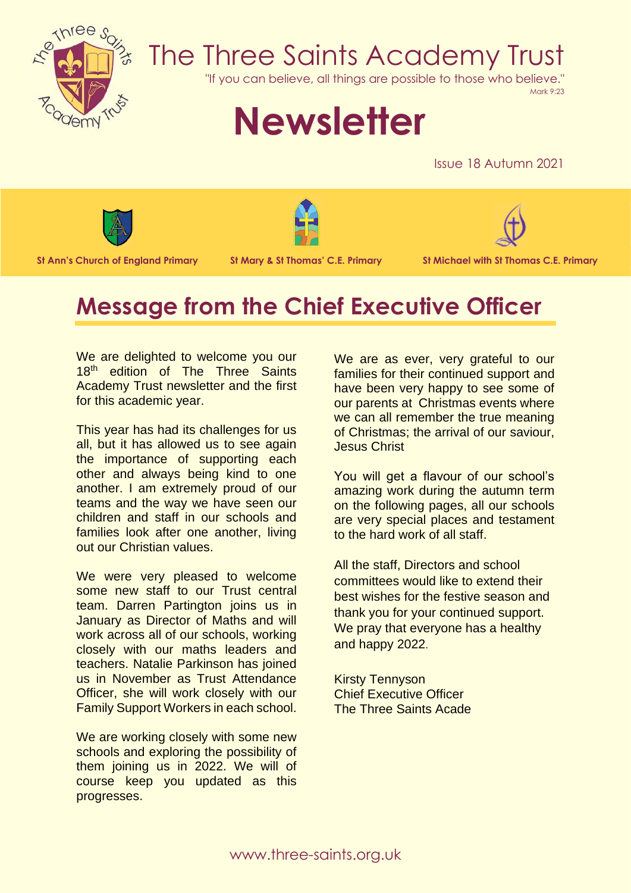

## The Three Saints Academy Trust

"If you can believe, all things are possible to those who believe."

Mark 9:23

# **Newsletter**

Issue 18 Autumn 2021







**St Ann's Church of England Primary St Mary & St Thomas' C.E. Primary St Michael with St Thomas C.E. Primary**

### **Message from the Chief Executive Officer**

We are delighted to welcome you our 18<sup>th</sup> edition of The Three Saints Academy Trust newsletter and the first for this academic year.

This year has had its challenges for us all, but it has allowed us to see again the importance of supporting each other and always being kind to one another. I am extremely proud of our teams and the way we have seen our children and staff in our schools and families look after one another, living out our Christian values.

We were very pleased to welcome some new staff to our Trust central team. Darren Partington joins us in January as Director of Maths and will work across all of our schools, working closely with our maths leaders and teachers. Natalie Parkinson has joined us in November as Trust Attendance Officer, she will work closely with our Family Support Workers in each school.

We are working closely with some new schools and exploring the possibility of them joining us in 2022. We will of course keep you updated as this progresses.

We are as ever, very grateful to our families for their continued support and have been very happy to see some of our parents at Christmas events where we can all remember the true meaning of Christmas; the arrival of our saviour, Jesus Christ

You will get a flavour of our school's amazing work during the autumn term on the following pages, all our schools are very special places and testament to the hard work of all staff.

All the staff, Directors and school committees would like to extend their best wishes for the festive season and thank you for your continued support. We pray that everyone has a healthy and happy 2022.

Kirsty Tennyson Chief Executive Officer The Three Saints Acade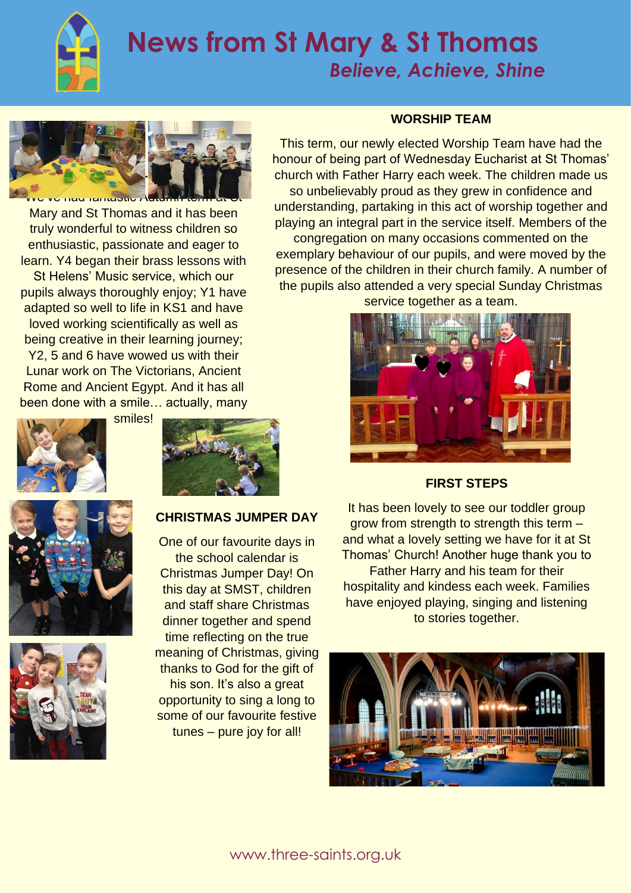

### **News from St Mary & St Thomas**  *Believe, Achieve, Shine*



Mary and St Thomas and it has been truly wonderful to witness children so enthusiastic, passionate and eager to learn. Y4 began their brass lessons with St Helens' Music service, which our pupils always thoroughly enjoy; Y1 have adapted so well to life in KS1 and have loved working scientifically as well as being creative in their learning journey; Y2, 5 and 6 have wowed us with their Lunar work on The Victorians, Ancient Rome and Ancient Egypt. And it has all been done with a smile... actually, many







### **CHRISTMAS JUMPER DAY**

One of our favourite days in the school calendar is Christmas Jumper Day! On this day at SMST, children and staff share Christmas dinner together and spend time reflecting on the true meaning of Christmas, giving thanks to God for the gift of his son. It's also a great opportunity to sing a long to some of our favourite festive tunes – pure joy for all!

#### **WORSHIP TEAM**

This term, our newly elected Worship Team have had the honour of being part of Wednesday Eucharist at St Thomas' church with Father Harry each week. The children made us so unbelievably proud as they grew in confidence and understanding, partaking in this act of worship together and playing an integral part in the service itself. Members of the congregation on many occasions commented on the exemplary behaviour of our pupils, and were moved by the presence of the children in their church family. A number of the pupils also attended a very special Sunday Christmas

service together as a team.



**FIRST STEPS**

It has been lovely to see our toddler group grow from strength to strength this term – and what a lovely setting we have for it at St Thomas' Church! Another huge thank you to Father Harry and his team for their hospitality and kindess each week. Families have enjoyed playing, singing and listening to stories together.

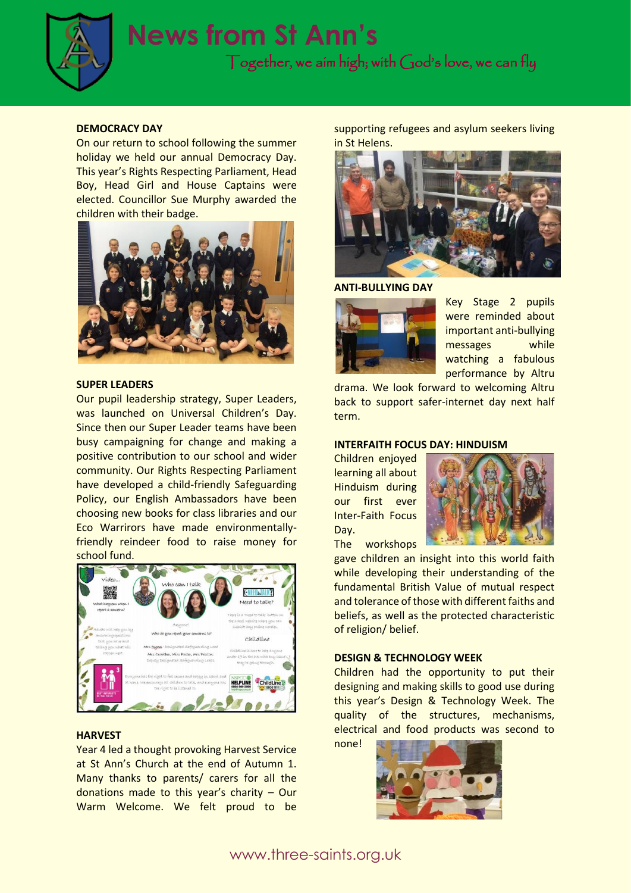

#### **DEMOCRACY DAY**

On our return to school following the summer holiday we held our annual Democracy Day. This year's Rights Respecting Parliament, Head Boy, Head Girl and House Captains were elected. Councillor Sue Murphy awarded the children with their badge.



#### **SUPER LEADERS**

Our pupil leadership strategy, Super Leaders, was launched on Universal Children's Day. Since then our Super Leader teams have been busy campaigning for change and making a positive contribution to our school and wider community. Our Rights Respecting Parliament have developed a child-friendly Safeguarding Policy, our English Ambassadors have been choosing new books for class libraries and our Eco Warrirors have made environmentallyfriendly reindeer food to raise money for school fund.



#### **HARVEST**

Year 4 led a thought provoking Harvest Service at St Ann's Church at the end of Autumn 1. Many thanks to parents/ carers for all the donations made to this year's charity – Our Warm Welcome. We felt proud to be

supporting refugees and asylum seekers living in St Helens.



**ANTI-BULLYING DAY**



Key Stage 2 pupils were reminded about important anti-bullying messages while watching a fabulous performance by Altru

drama. We look forward to welcoming Altru back to support safer-internet day next half term.

#### **INTERFAITH FOCUS DAY: HINDUISM**

Children enjoyed learning all about Hinduism during our first ever Inter-Faith Focus Day. The workshops



gave children an insight into this world faith while developing their understanding of the fundamental British Value of mutual respect and tolerance of those with different faiths and beliefs, as well as the protected characteristic of religion/ belief.

#### **DESIGN & TECHNOLOGY WEEK**

Children had the opportunity to put their designing and making skills to good use during this year's Design & Technology Week. The quality of the structures, mechanisms, electrical and food products was second to

none!